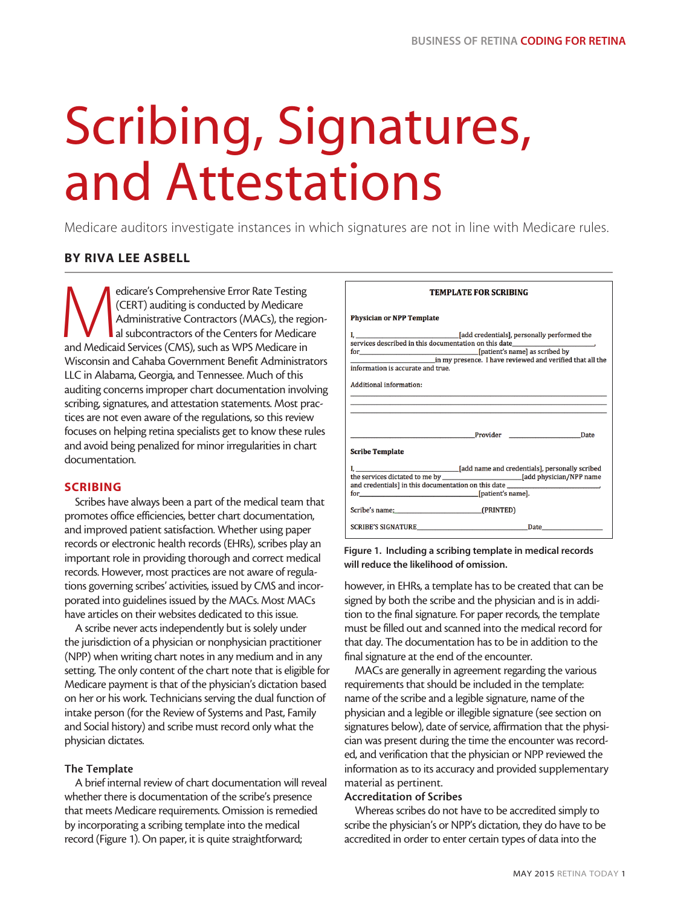# Scribing, Signatures, and Attestations

Medicare auditors investigate instances in which signatures are not in line with Medicare rules.

# BY RIVA LEE ASBELL

edicare's Comprehensive Error Rate Testing<br>
(CERT) auditing is conducted by Medicare<br>
Administrative Contractors (MACs), the reg<br>
al subcontractors of the Centers for Medicare<br>
and Medicaid Services (CMS), such as WPS Medi (CERT) auditing is conducted by Medicare Administrative Contractors (MACs), the regional subcontractors of the Centers for Medicare Wisconsin and Cahaba Government Benefit Administrators LLC in Alabama, Georgia, and Tennessee. Much of this auditing concerns improper chart documentation involving scribing, signatures, and attestation statements. Most practices are not even aware of the regulations, so this review focuses on helping retina specialists get to know these rules and avoid being penalized for minor irregularities in chart documentation.

# SCRIBING

Scribes have always been a part of the medical team that promotes office efficiencies, better chart documentation, and improved patient satisfaction. Whether using paper records or electronic health records (EHRs), scribes play an important role in providing thorough and correct medical records. However, most practices are not aware of regulations governing scribes' activities, issued by CMS and incorporated into guidelines issued by the MACs. Most MACs have articles on their websites dedicated to this issue.

A scribe never acts independently but is solely under the jurisdiction of a physician or nonphysician practitioner (NPP) when writing chart notes in any medium and in any setting. The only content of the chart note that is eligible for Medicare payment is that of the physician's dictation based on her or his work. Technicians serving the dual function of intake person (for the Review of Systems and Past, Family and Social history) and scribe must record only what the physician dictates.

# The Template

A brief internal review of chart documentation will reveal whether there is documentation of the scribe's presence that meets Medicare requirements. Omission is remedied by incorporating a scribing template into the medical record (Figure 1). On paper, it is quite straightforward;

| <b>TEMPLATE FOR SCRIBING</b>      |                                                                                  |  |  |  |
|-----------------------------------|----------------------------------------------------------------------------------|--|--|--|
| <b>Physician or NPP Template</b>  |                                                                                  |  |  |  |
| information is accurate and true. |                                                                                  |  |  |  |
| <b>Additional information:</b>    | ,我们也不能在这里的时候,我们也不能在这里的时候,我们也不能会在这里的时候,我们也不能会在这里的时候,我们也不能会在这里的时候,我们也不能会在这里的时候,我们也 |  |  |  |
| <b>Scribe Template</b>            | <b>Provider</b> Provider Date                                                    |  |  |  |
| for [patient's name].             | and credentials] in this documentation on this date ____________________________ |  |  |  |
| Scribe's name: (PRINTED)          |                                                                                  |  |  |  |
|                                   | SCRIBE'S SIGNATURE Date Date                                                     |  |  |  |

## Figure 1. Including a scribing template in medical records will reduce the likelihood of omission.

however, in EHRs, a template has to be created that can be signed by both the scribe and the physician and is in addition to the final signature. For paper records, the template must be filled out and scanned into the medical record for that day. The documentation has to be in addition to the final signature at the end of the encounter.

MACs are generally in agreement regarding the various requirements that should be included in the template: name of the scribe and a legible signature, name of the physician and a legible or illegible signature (see section on signatures below), date of service, affirmation that the physician was present during the time the encounter was recorded, and verification that the physician or NPP reviewed the information as to its accuracy and provided supplementary material as pertinent.

### Accreditation of Scribes

Whereas scribes do not have to be accredited simply to scribe the physician's or NPP's dictation, they do have to be accredited in order to enter certain types of data into the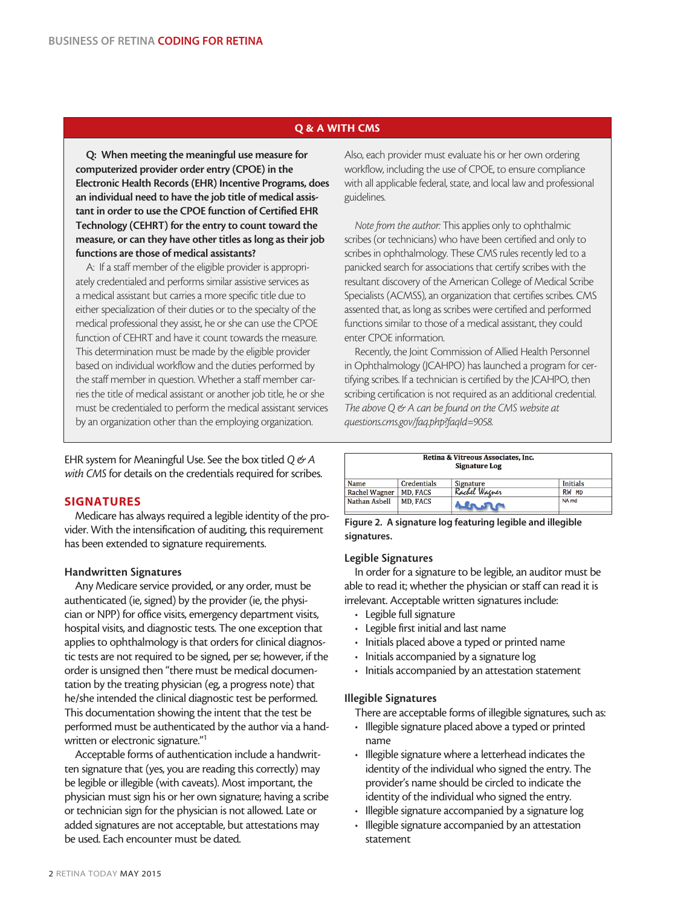# Q & A WITH CMS

Q: When meeting the meaningful use measure for computerized provider order entry (CPOE) in the Electronic Health Records (EHR) Incentive Programs, does an individual need to have the job title of medical assistant in order to use the CPOE function of Certified EHR Technology (CEHRT) for the entry to count toward the measure, or can they have other titles as long as their job functions are those of medical assistants?

A: If a staff member of the eligible provider is appropriately credentialed and performs similar assistive services as a medical assistant but carries a more specific title due to either specialization of their duties or to the specialty of the medical professional they assist, he or she can use the CPOE function of CEHRT and have it count towards the measure. This determination must be made by the eligible provider based on individual workflow and the duties performed by the staff member in question. Whether a staff member carries the title of medical assistant or another job title, he or she must be credentialed to perform the medical assistant services by an organization other than the employing organization.

EHR system for Meaningful Use. See the box titled *Q & A with CMS* for details on the credentials required for scribes.

# SIGNATURES

Medicare has always required a legible identity of the provider. With the intensification of auditing, this requirement has been extended to signature requirements.

# Handwritten Signatures

Any Medicare service provided, or any order, must be authenticated (ie, signed) by the provider (ie, the physician or NPP) for office visits, emergency department visits, hospital visits, and diagnostic tests. The one exception that applies to ophthalmology is that orders for clinical diagnostic tests are not required to be signed, per se; however, if the order is unsigned then "there must be medical documentation by the treating physician (eg, a progress note) that he/she intended the clinical diagnostic test be performed. This documentation showing the intent that the test be performed must be authenticated by the author via a handwritten or electronic signature."1

Acceptable forms of authentication include a handwritten signature that (yes, you are reading this correctly) may be legible or illegible (with caveats). Most important, the physician must sign his or her own signature; having a scribe or technician sign for the physician is not allowed. Late or added signatures are not acceptable, but attestations may be used. Each encounter must be dated.

Also, each provider must evaluate his or her own ordering workflow, including the use of CPOE, to ensure compliance with all applicable federal, state, and local law and professional guidelines.

*Note from the author:* This applies only to ophthalmic scribes (or technicians) who have been certified and only to scribes in ophthalmology. These CMS rules recently led to a panicked search for associations that certify scribes with the resultant discovery of the American College of Medical Scribe Specialists (ACMSS), an organization that certifies scribes. CMS assented that, as long as scribes were certified and performed functions similar to those of a medical assistant, they could enter CPOE information.

Recently, the Joint Commission of Allied Health Personnel in Ophthalmology (JCAHPO) has launched a program for certifying scribes. If a technician is certified by the JCAHPO, then scribing certification is not required as an additional credential. *The above Q & A can be found on the CMS website at questions.cms.gov/faq.php?faqId=9058.* 

| Retina & Vitreous Associates, Inc.<br><b>Signature Log</b> |                 |               |                  |  |
|------------------------------------------------------------|-----------------|---------------|------------------|--|
| Name                                                       | Credentials     | Signature     | <b>Initials</b>  |  |
| Rachel Wagner                                              | <b>MD. FACS</b> | Rachel Warner | RW MD            |  |
| Nathan Asbell                                              | <b>MD, FACS</b> |               | NA <sub>md</sub> |  |

Figure 2. A signature log featuring legible and illegible signatures.

# Legible Signatures

In order for a signature to be legible, an auditor must be able to read it; whether the physician or staff can read it is irrelevant. Acceptable written signatures include:

- Legible full signature
- Legible first initial and last name
- Initials placed above a typed or printed name
- Initials accompanied by a signature log
- Initials accompanied by an attestation statement

# Illegible Signatures

There are acceptable forms of illegible signatures, such as:

- Illegible signature placed above a typed or printed name
- Illegible signature where a letterhead indicates the identity of the individual who signed the entry. The provider's name should be circled to indicate the identity of the individual who signed the entry.
- Illegible signature accompanied by a signature log
- Illegible signature accompanied by an attestation statement